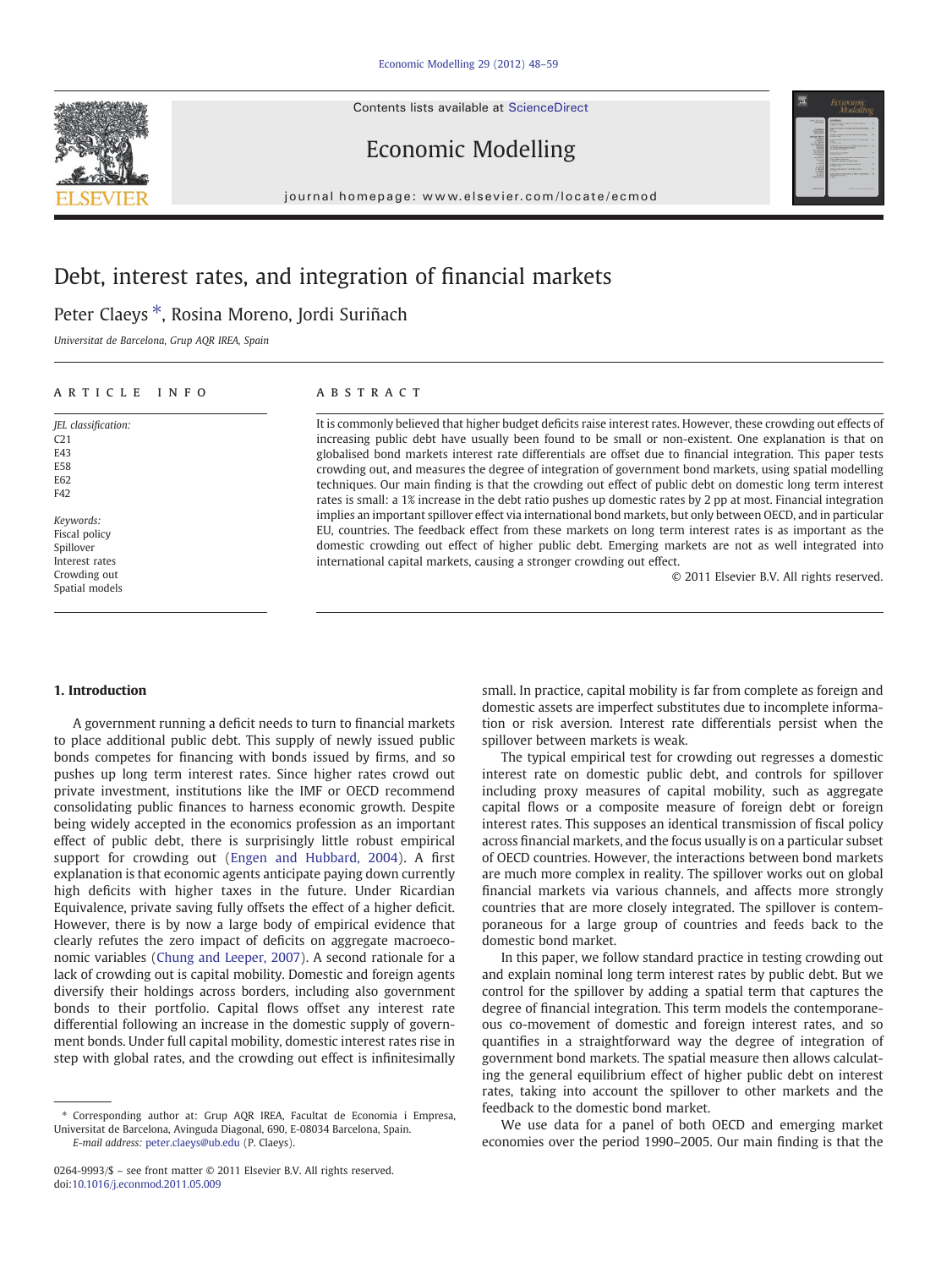Contents lists available at [ScienceDirect](http://www.sciencedirect.com/science/journal/02649993)





journal homepage: www.elsevier.com/locate/ecmod



## Debt, interest rates, and integration of financial markets

### Peter Claeys<sup>\*</sup>, Rosina Moreno, Jordi Suriñach

Universitat de Barcelona, Grup AQR IREA, Spain

### ARTICLE INFO ABSTRACT

JEL classification: C21 E43 E58 E<sub>62</sub> F42 Keywords: Fiscal policy Spillover Interest rates Crowding out Spatial models

It is commonly believed that higher budget deficits raise interest rates. However, these crowding out effects of increasing public debt have usually been found to be small or non-existent. One explanation is that on globalised bond markets interest rate differentials are offset due to financial integration. This paper tests crowding out, and measures the degree of integration of government bond markets, using spatial modelling techniques. Our main finding is that the crowding out effect of public debt on domestic long term interest rates is small: a 1% increase in the debt ratio pushes up domestic rates by 2 pp at most. Financial integration implies an important spillover effect via international bond markets, but only between OECD, and in particular EU, countries. The feedback effect from these markets on long term interest rates is as important as the domestic crowding out effect of higher public debt. Emerging markets are not as well integrated into international capital markets, causing a stronger crowding out effect.

© 2011 Elsevier B.V. All rights reserved.

#### 1. Introduction

A government running a deficit needs to turn to financial markets to place additional public debt. This supply of newly issued public bonds competes for financing with bonds issued by firms, and so pushes up long term interest rates. Since higher rates crowd out private investment, institutions like the IMF or OECD recommend consolidating public finances to harness economic growth. Despite being widely accepted in the economics profession as an important effect of public debt, there is surprisingly little robust empirical support for crowding out [\(Engen and Hubbard, 2004](#page--1-0)). A first explanation is that economic agents anticipate paying down currently high deficits with higher taxes in the future. Under Ricardian Equivalence, private saving fully offsets the effect of a higher deficit. However, there is by now a large body of empirical evidence that clearly refutes the zero impact of deficits on aggregate macroeconomic variables [\(Chung and Leeper, 2007\)](#page--1-0). A second rationale for a lack of crowding out is capital mobility. Domestic and foreign agents diversify their holdings across borders, including also government bonds to their portfolio. Capital flows offset any interest rate differential following an increase in the domestic supply of government bonds. Under full capital mobility, domestic interest rates rise in step with global rates, and the crowding out effect is infinitesimally

small. In practice, capital mobility is far from complete as foreign and domestic assets are imperfect substitutes due to incomplete information or risk aversion. Interest rate differentials persist when the spillover between markets is weak.

The typical empirical test for crowding out regresses a domestic interest rate on domestic public debt, and controls for spillover including proxy measures of capital mobility, such as aggregate capital flows or a composite measure of foreign debt or foreign interest rates. This supposes an identical transmission of fiscal policy across financial markets, and the focus usually is on a particular subset of OECD countries. However, the interactions between bond markets are much more complex in reality. The spillover works out on global financial markets via various channels, and affects more strongly countries that are more closely integrated. The spillover is contemporaneous for a large group of countries and feeds back to the domestic bond market.

In this paper, we follow standard practice in testing crowding out and explain nominal long term interest rates by public debt. But we control for the spillover by adding a spatial term that captures the degree of financial integration. This term models the contemporaneous co-movement of domestic and foreign interest rates, and so quantifies in a straightforward way the degree of integration of government bond markets. The spatial measure then allows calculating the general equilibrium effect of higher public debt on interest rates, taking into account the spillover to other markets and the feedback to the domestic bond market.

We use data for a panel of both OECD and emerging market economies over the period 1990–2005. Our main finding is that the

<sup>⁎</sup> Corresponding author at: Grup AQR IREA, Facultat de Economia i Empresa, Universitat de Barcelona, Avinguda Diagonal, 690, E-08034 Barcelona, Spain. E-mail address: [peter.claeys@ub.edu](mailto:peter.claeys@ub.edu) (P. Claeys).

<sup>0264-9993/\$</sup> – see front matter © 2011 Elsevier B.V. All rights reserved. doi[:10.1016/j.econmod.2011.05.009](http://dx.doi.org/10.1016/j.econmod.2011.05.009)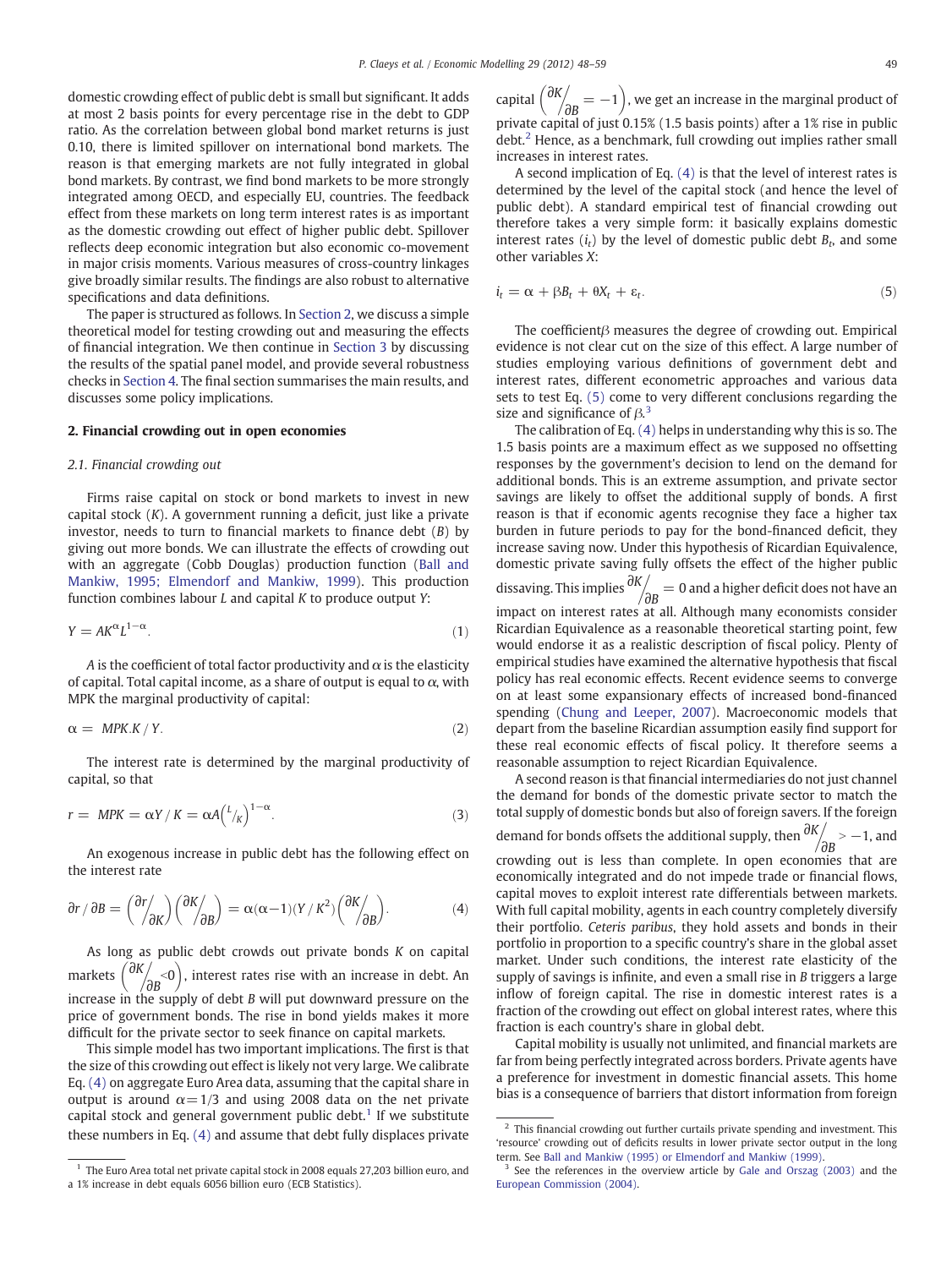domestic crowding effect of public debt is small but significant. It adds at most 2 basis points for every percentage rise in the debt to GDP ratio. As the correlation between global bond market returns is just 0.10, there is limited spillover on international bond markets. The reason is that emerging markets are not fully integrated in global bond markets. By contrast, we find bond markets to be more strongly integrated among OECD, and especially EU, countries. The feedback effect from these markets on long term interest rates is as important as the domestic crowding out effect of higher public debt. Spillover reflects deep economic integration but also economic co-movement in major crisis moments. Various measures of cross-country linkages give broadly similar results. The findings are also robust to alternative specifications and data definitions.

The paper is structured as follows. In Section 2, we discuss a simple theoretical model for testing crowding out and measuring the effects of financial integration. We then continue in [Section 3](#page--1-0) by discussing the results of the spatial panel model, and provide several robustness checks in [Section 4.](#page--1-0) The final section summarises the main results, and discusses some policy implications.

#### 2. Financial crowding out in open economies

#### 2.1. Financial crowding out

Firms raise capital on stock or bond markets to invest in new capital stock (K). A government running a deficit, just like a private investor, needs to turn to financial markets to finance debt (B) by giving out more bonds. We can illustrate the effects of crowding out with an aggregate (Cobb Douglas) production function [\(Ball and](#page--1-0) [Mankiw, 1995; Elmendorf and Mankiw, 1999\)](#page--1-0). This production function combines labour  $L$  and capital  $K$  to produce output  $Y$ :

$$
Y = AK^{\alpha}L^{1-\alpha}.
$$
 (1)

A is the coefficient of total factor productivity and  $\alpha$  is the elasticity of capital. Total capital income, as a share of output is equal to  $\alpha$ , with MPK the marginal productivity of capital:

$$
\alpha = \text{MPK.K} / Y. \tag{2}
$$

The interest rate is determined by the marginal productivity of capital, so that

$$
r = MPK = \alpha Y / K = \alpha A \left(\frac{L}{K}\right)^{1-\alpha}.
$$
 (3)

An exogenous increase in public debt has the following effect on the interest rate

$$
\partial r / \partial B = \left( \frac{\partial r}{\partial K} \right) \left( \frac{\partial K}{\partial B} \right) = \alpha (\alpha - 1) (Y / K^2) \left( \frac{\partial K}{\partial B} \right).
$$
 (4)

As long as public debt crowds out private bonds  $K$  on capital markets  $\left(\frac{\partial K}{\partial \mu}\right)^2$  $\left(\frac{\partial K}{\partial B}<0\right)$ , interest rates rise with an increase in debt. An increase in the supply of debt B will put downward pressure on the price of government bonds. The rise in bond yields makes it more difficult for the private sector to seek finance on capital markets.

This simple model has two important implications. The first is that the size of this crowding out effect is likely not very large. We calibrate Eq. (4) on aggregate Euro Area data, assuming that the capital share in output is around  $\alpha = 1/3$  and using 2008 data on the net private capital stock and general government public debt.<sup>1</sup> If we substitute these numbers in Eq. (4) and assume that debt fully displaces private

capital  $\left(\frac{\partial K}{\partial \rho}\right)^2$  $\left(\frac{\partial K}{\partial B} = -1\right)$ , we get an increase in the marginal product of private capital of just 0.15% (1.5 basis points) after a 1% rise in public debt.<sup>2</sup> Hence, as a benchmark, full crowding out implies rather small increases in interest rates.

A second implication of Eq. (4) is that the level of interest rates is determined by the level of the capital stock (and hence the level of public debt). A standard empirical test of financial crowding out therefore takes a very simple form: it basically explains domestic interest rates  $(i_t)$  by the level of domestic public debt  $B_t$ , and some other variables X:

$$
i_t = \alpha + \beta B_t + \theta X_t + \varepsilon_t. \tag{5}
$$

The coefficientβ measures the degree of crowding out. Empirical evidence is not clear cut on the size of this effect. A large number of studies employing various definitions of government debt and interest rates, different econometric approaches and various data sets to test Eq. (5) come to very different conclusions regarding the size and significance of  $\beta$ .<sup>3</sup>

The calibration of Eq. (4) helps in understanding why this is so. The 1.5 basis points are a maximum effect as we supposed no offsetting responses by the government's decision to lend on the demand for additional bonds. This is an extreme assumption, and private sector savings are likely to offset the additional supply of bonds. A first reason is that if economic agents recognise they face a higher tax burden in future periods to pay for the bond-financed deficit, they increase saving now. Under this hypothesis of Ricardian Equivalence, domestic private saving fully offsets the effect of the higher public dissaving. This implies  $\partial K/$  $\hat{\theta}_B = 0$  and a higher deficit does not have an<br> $\hat{\theta}_B$ impact on interest rates at all. Although many economists consider Ricardian Equivalence as a reasonable theoretical starting point, few would endorse it as a realistic description of fiscal policy. Plenty of empirical studies have examined the alternative hypothesis that fiscal policy has real economic effects. Recent evidence seems to converge on at least some expansionary effects of increased bond-financed spending [\(Chung and Leeper, 2007](#page--1-0)). Macroeconomic models that depart from the baseline Ricardian assumption easily find support for these real economic effects of fiscal policy. It therefore seems a reasonable assumption to reject Ricardian Equivalence.

A second reason is that financial intermediaries do not just channel the demand for bonds of the domestic private sector to match the total supply of domestic bonds but also of foreign savers. If the foreign demand for bonds offsets the additional supply, then  $\partial K/$  $\partial B > -1$ , and crowding out is less than complete. In open economies that are economically integrated and do not impede trade or financial flows, capital moves to exploit interest rate differentials between markets. With full capital mobility, agents in each country completely diversify their portfolio. Ceteris paribus, they hold assets and bonds in their portfolio in proportion to a specific country's share in the global asset market. Under such conditions, the interest rate elasticity of the supply of savings is infinite, and even a small rise in B triggers a large inflow of foreign capital. The rise in domestic interest rates is a fraction of the crowding out effect on global interest rates, where this fraction is each country's share in global debt.

Capital mobility is usually not unlimited, and financial markets are far from being perfectly integrated across borders. Private agents have a preference for investment in domestic financial assets. This home bias is a consequence of barriers that distort information from foreign

 $1$  The Euro Area total net private capital stock in 2008 equals 27,203 billion euro, and a 1% increase in debt equals 6056 billion euro (ECB Statistics).

 $<sup>2</sup>$  This financial crowding out further curtails private spending and investment. This</sup> 'resource' crowding out of deficits results in lower private sector output in the long term. See [Ball and Mankiw \(1995\) or Elmendorf and Mankiw \(1999\).](#page--1-0)

<sup>&</sup>lt;sup>3</sup> See the references in the overview article by [Gale and Orszag \(2003\)](#page--1-0) and the [European Commission \(2004\).](#page--1-0)